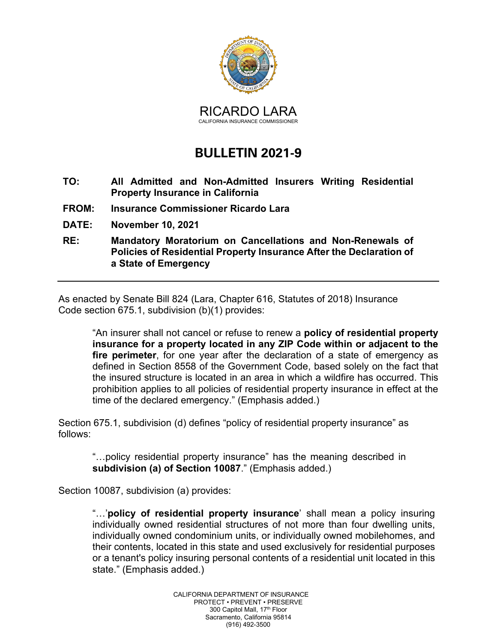

## **BULLETIN 2021-9**

- **TO: All Admitted and Non-Admitted Insurers Writing Residential Property Insurance in California**
- **FROM: Insurance Commissioner Ricardo Lara**
- **DATE: November 10, 2021**
- **RE: Mandatory Moratorium on Cancellations and Non-Renewals of Policies of Residential Property Insurance After the Declaration of a State of Emergency**

As enacted by Senate Bill 824 (Lara, Chapter 616, Statutes of 2018) Insurance Code section 675.1, subdivision (b)(1) provides:

"An insurer shall not cancel or refuse to renew a **policy of residential property insurance for a property located in any ZIP Code within or adjacent to the fire perimeter**, for one year after the declaration of a state of emergency as defined in Section 8558 of the Government Code, based solely on the fact that the insured structure is located in an area in which a wildfire has occurred. This prohibition applies to all policies of residential property insurance in effect at the time of the declared emergency." (Emphasis added.)

Section 675.1, subdivision (d) defines "policy of residential property insurance" as follows:

"…policy residential property insurance" has the meaning described in **subdivision (a) of Section 10087**." (Emphasis added.)

Section 10087, subdivision (a) provides:

"…'**policy of residential property insurance**' shall mean a policy insuring individually owned residential structures of not more than four dwelling units, individually owned condominium units, or individually owned mobilehomes, and their contents, located in this state and used exclusively for residential purposes or a tenant's policy insuring personal contents of a residential unit located in this state." (Emphasis added.)

> CALIFORNIA DEPARTMENT OF INSURANCE PROTECT • PREVENT • PRESERVE 300 Capitol Mall, 17<sup>th</sup> Floor Sacramento, California 95814 (916) 492-3500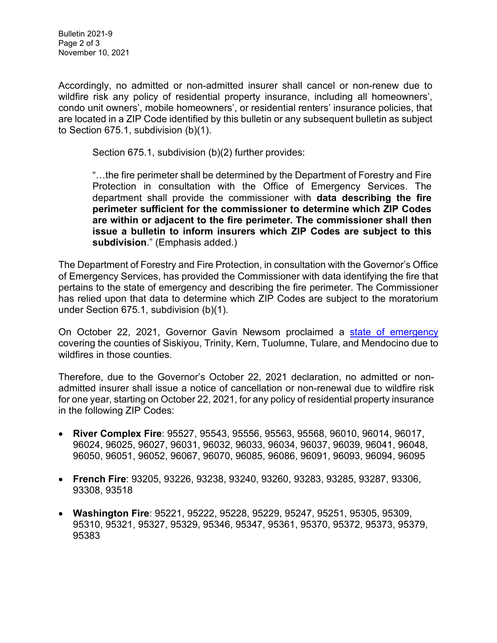Accordingly, no admitted or non-admitted insurer shall cancel or non-renew due to wildfire risk any policy of residential property insurance, including all homeowners', condo unit owners', mobile homeowners', or residential renters' insurance policies, that are located in a ZIP Code identified by this bulletin or any subsequent bulletin as subject to Section 675.1, subdivision (b)(1).

Section 675.1, subdivision (b)(2) further provides:

"…the fire perimeter shall be determined by the Department of Forestry and Fire Protection in consultation with the Office of Emergency Services. The department shall provide the commissioner with **data describing the fire perimeter sufficient for the commissioner to determine which ZIP Codes are within or adjacent to the fire perimeter. The commissioner shall then issue a bulletin to inform insurers which ZIP Codes are subject to this subdivision**." (Emphasis added.)

The Department of Forestry and Fire Protection, in consultation with the Governor's Office of Emergency Services, has provided the Commissioner with data identifying the fire that pertains to the state of emergency and describing the fire perimeter. The Commissioner has relied upon that data to determine which ZIP Codes are subject to the moratorium under Section 675.1, subdivision (b)(1).

On October 22, 2021, Governor Gavin Newsom proclaimed a [state of emergency](https://www.gov.ca.gov/wp-content/uploads/2021/10/10.22.21-SOE-River-Complex_Hopkins_Windy_KNP.pdf) covering the counties of Siskiyou, Trinity, Kern, Tuolumne, Tulare, and Mendocino due to wildfires in those counties.

Therefore, due to the Governor's October 22, 2021 declaration, no admitted or nonadmitted insurer shall issue a notice of cancellation or non-renewal due to wildfire risk for one year, starting on October 22, 2021, for any policy of residential property insurance in the following ZIP Codes:

- **River Complex Fire**: 95527, 95543, 95556, 95563, 95568, 96010, 96014, 96017, 96024, 96025, 96027, 96031, 96032, 96033, 96034, 96037, 96039, 96041, 96048, 96050, 96051, 96052, 96067, 96070, 96085, 96086, 96091, 96093, 96094, 96095
- **French Fire**: 93205, 93226, 93238, 93240, 93260, 93283, 93285, 93287, 93306, 93308, 93518
- **Washington Fire**: 95221, 95222, 95228, 95229, 95247, 95251, 95305, 95309, 95310, 95321, 95327, 95329, 95346, 95347, 95361, 95370, 95372, 95373, 95379, 95383